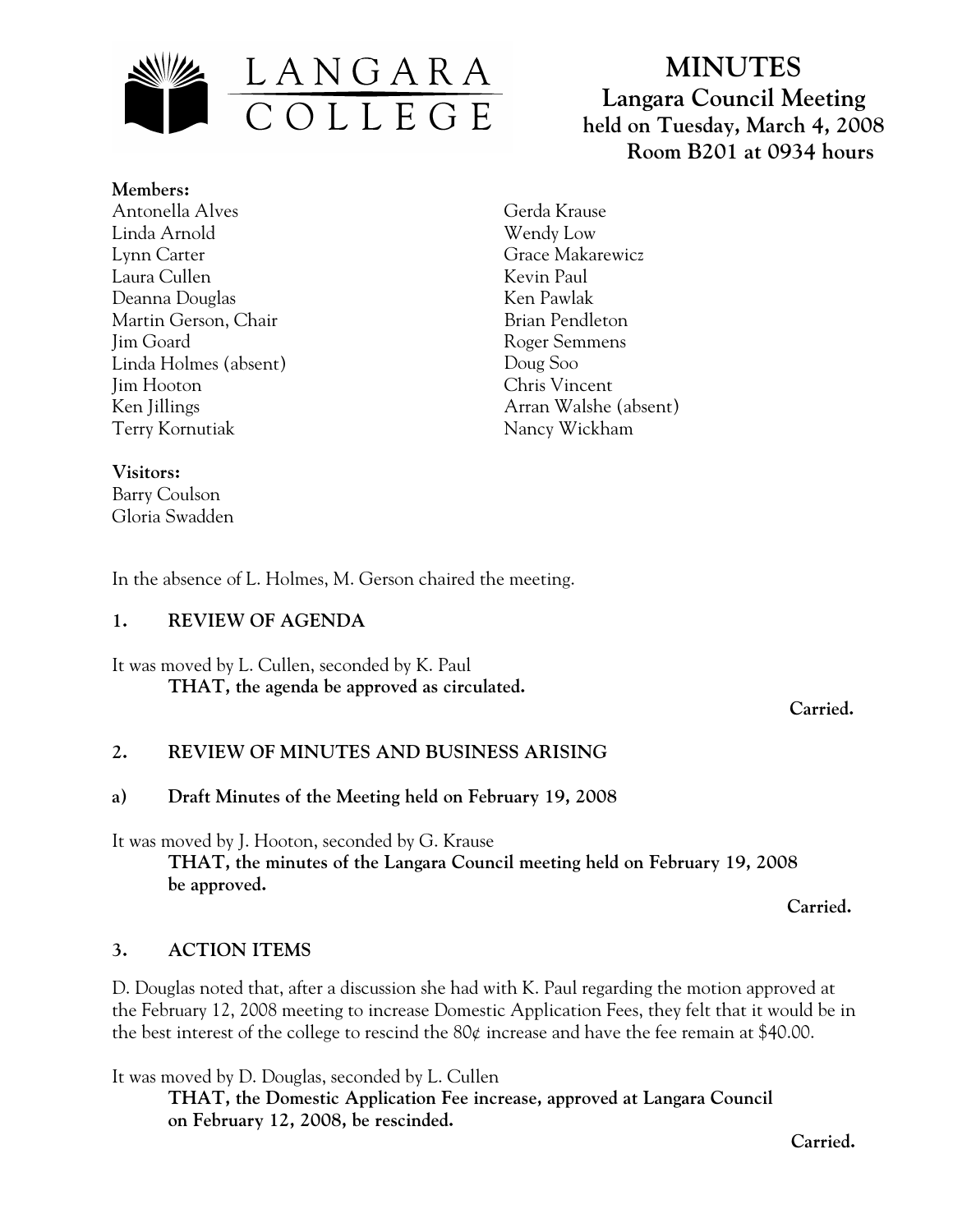

**MINUTES Langara Council Meeting held on Tuesday, March 4, 2008 Room B201 at 0934 hours**

**Members:** Antonella Alves Linda Arnold Lynn Carter Laura Cullen Deanna Douglas Martin Gerson, Chair Jim Goard Linda Holmes (absent) Jim Hooton Ken Jillings Terry Kornutiak

Gerda Krause Wendy Low Grace Makarewicz Kevin Paul Ken Pawlak Brian Pendleton Roger Semmens Doug Soo Chris Vincent Arran Walshe (absent) Nancy Wickham

#### **Visitors:**

Barry Coulson Gloria Swadden

In the absence of L. Holmes, M. Gerson chaired the meeting.

#### **1. REVIEW OF AGENDA**

It was moved by L. Cullen, seconded by K. Paul **THAT, the agenda be approved as circulated.** 

*Carried.* 

#### **2. REVIEW OF MINUTES AND BUSINESS ARISING**

#### **a) Draft Minutes of the Meeting held on February 19, 2008**

It was moved by J. Hooton, seconded by G. Krause

**THAT, the minutes of the Langara Council meeting held on February 19, 2008 be approved.** 

**Carried.** 

#### **3. ACTION ITEMS**

D. Douglas noted that, after a discussion she had with K. Paul regarding the motion approved at the February 12, 2008 meeting to increase Domestic Application Fees, they felt that it would be in the best interest of the college to rescind the 80¢ increase and have the fee remain at \$40.00.

It was moved by D. Douglas, seconded by L. Cullen **THAT, the Domestic Application Fee increase, approved at Langara Council on February 12, 2008, be rescinded.** 

**Carried.**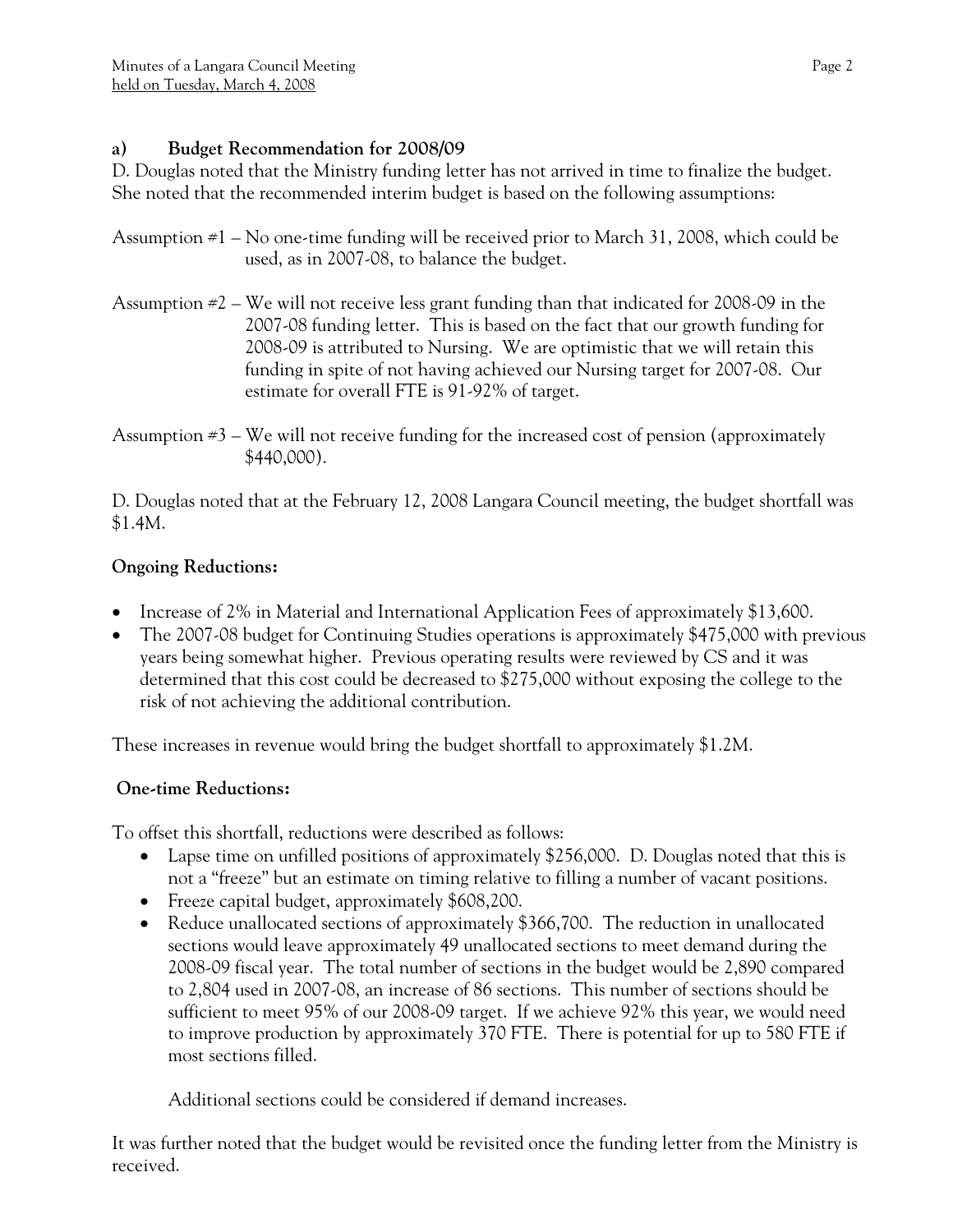## **a) Budget Recommendation for 2008/09**

D. Douglas noted that the Ministry funding letter has not arrived in time to finalize the budget. She noted that the recommended interim budget is based on the following assumptions:

- Assumption #1 No one-time funding will be received prior to March 31, 2008, which could be used, as in 2007-08, to balance the budget.
- Assumption #2 We will not receive less grant funding than that indicated for 2008-09 in the 2007-08 funding letter. This is based on the fact that our growth funding for 2008-09 is attributed to Nursing. We are optimistic that we will retain this funding in spite of not having achieved our Nursing target for 2007-08. Our estimate for overall FTE is 91-92% of target.

D. Douglas noted that at the February 12, 2008 Langara Council meeting, the budget shortfall was \$1.4M.

# **Ongoing Reductions:**

- Increase of 2% in Material and International Application Fees of approximately \$13,600.
- The 2007-08 budget for Continuing Studies operations is approximately \$475,000 with previous years being somewhat higher. Previous operating results were reviewed by CS and it was determined that this cost could be decreased to \$275,000 without exposing the college to the risk of not achieving the additional contribution.

These increases in revenue would bring the budget shortfall to approximately \$1.2M.

# **One-time Reductions:**

To offset this shortfall, reductions were described as follows:

- Lapse time on unfilled positions of approximately \$256,000. D. Douglas noted that this is not a "freeze" but an estimate on timing relative to filling a number of vacant positions.
- Freeze capital budget, approximately \$608,200.
- Reduce unallocated sections of approximately \$366,700. The reduction in unallocated sections would leave approximately 49 unallocated sections to meet demand during the 2008-09 fiscal year. The total number of sections in the budget would be 2,890 compared to 2,804 used in 2007-08, an increase of 86 sections. This number of sections should be sufficient to meet 95% of our 2008-09 target. If we achieve 92% this year, we would need to improve production by approximately 370 FTE. There is potential for up to 580 FTE if most sections filled.

Additional sections could be considered if demand increases.

It was further noted that the budget would be revisited once the funding letter from the Ministry is received.

Assumption  $\#3$  – We will not receive funding for the increased cost of pension (approximately \$440,000).